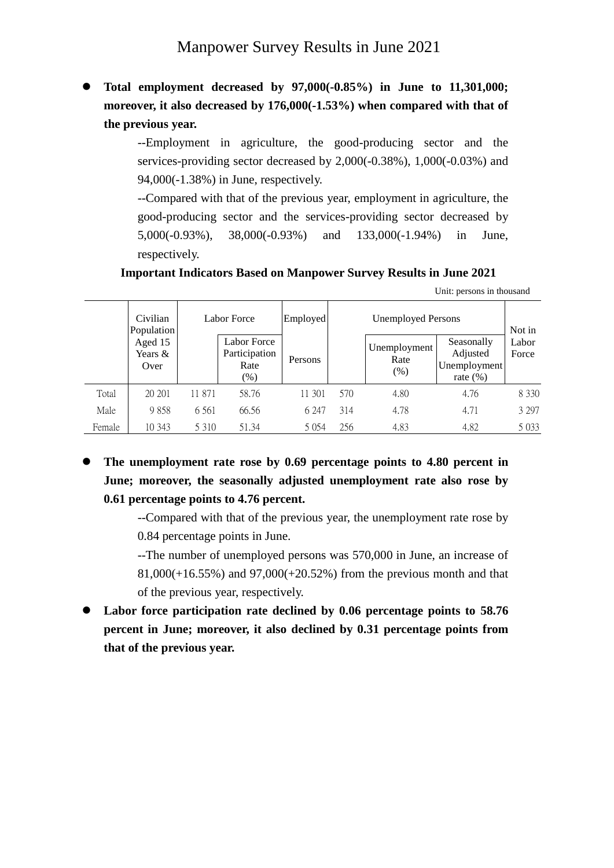⚫ **Total employment decreased by 97,000(-0.85%) in June to 11,301,000; moreover, it also decreased by 176,000(-1.53%) when compared with that of the previous year.**

> --Employment in agriculture, the good-producing sector and the services-providing sector decreased by 2,000(-0.38%), 1,000(-0.03%) and 94,000(-1.38%) in June, respectively.

> --Compared with that of the previous year, employment in agriculture, the good-producing sector and the services-providing sector decreased by 5,000(-0.93%), 38,000(-0.93%) and 133,000(-1.94%) in June, respectively.

**Important Indicators Based on Manpower Survey Results in June 2021**

| Unit: persons in thousand |  |  |  |  |  |
|---------------------------|--|--|--|--|--|
|---------------------------|--|--|--|--|--|

|        | Civilian<br>Population     |         | Labor Force                                  | Employed |     | <b>Unemployed Persons</b>      |                                                        | Not in         |  |
|--------|----------------------------|---------|----------------------------------------------|----------|-----|--------------------------------|--------------------------------------------------------|----------------|--|
|        | Aged 15<br>Years &<br>Over |         | Labor Force<br>Participation<br>Rate<br>(% ) | Persons  |     | Unemployment<br>Rate<br>$(\%)$ | Seasonally<br>Adjusted<br>Unemployment<br>rate $(\% )$ | Labor<br>Force |  |
| Total  | 20 20 1                    | 11 871  | 58.76                                        | 11 301   | 570 | 4.80                           | 4.76                                                   | 8 3 3 0        |  |
| Male   | 9858                       | 6 5 6 1 | 66.56                                        | 6 247    | 314 | 4.78                           | 4.71                                                   | 3 2 9 7        |  |
| Female | 10 343                     | 5 3 1 0 | 51.34                                        | 5 0 5 4  | 256 | 4.83                           | 4.82                                                   | 5 0 3 3        |  |

⚫ **The unemployment rate rose by 0.69 percentage points to 4.80 percent in June; moreover, the seasonally adjusted unemployment rate also rose by 0.61 percentage points to 4.76 percent.**

> --Compared with that of the previous year, the unemployment rate rose by 0.84 percentage points in June.

> --The number of unemployed persons was 570,000 in June, an increase of 81,000(+16.55%) and 97,000(+20.52%) from the previous month and that of the previous year, respectively.

⚫ **Labor force participation rate declined by 0.06 percentage points to 58.76 percent in June; moreover, it also declined by 0.31 percentage points from that of the previous year.**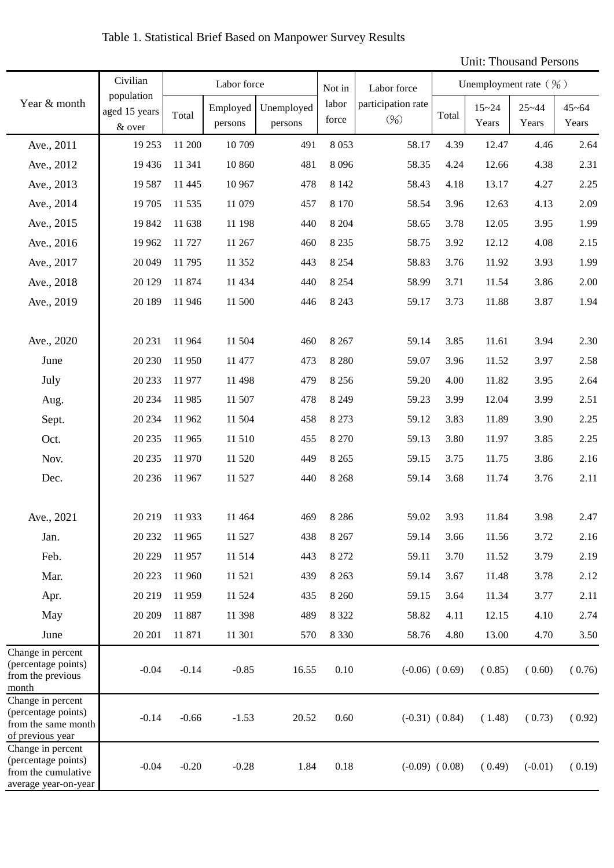## Table 1. Statistical Brief Based on Manpower Survey Results

## Unit: Thousand Persons

|                                                                                         | Civilian                              | Labor force |                     |                       | Not in         | Labor force                             | Unemployment rate $(\frac{9}{0})$ |                    |                    |                    |
|-----------------------------------------------------------------------------------------|---------------------------------------|-------------|---------------------|-----------------------|----------------|-----------------------------------------|-----------------------------------|--------------------|--------------------|--------------------|
| Year & month                                                                            | population<br>aged 15 years<br>& over | Total       | Employed<br>persons | Unemployed<br>persons | labor<br>force | participation rate<br>(9 <sub>0</sub> ) | Total                             | $15 - 24$<br>Years | $25 - 44$<br>Years | $45 - 64$<br>Years |
| Ave., 2011                                                                              | 19 25 3                               | 11 200      | 10709               | 491                   | 8053           | 58.17                                   | 4.39                              | 12.47              | 4.46               | 2.64               |
| Ave., 2012                                                                              | 19 4 36                               | 11 341      | 10 860              | 481                   | 8096           | 58.35                                   | 4.24                              | 12.66              | 4.38               | 2.31               |
| Ave., 2013                                                                              | 19 5 87                               | 11 4 45     | 10 967              | 478                   | 8 1 4 2        | 58.43                                   | 4.18                              | 13.17              | 4.27               | 2.25               |
| Ave., 2014                                                                              | 19 705                                | 11 535      | 11 079              | 457                   | 8 1 7 0        | 58.54                                   | 3.96                              | 12.63              | 4.13               | 2.09               |
| Ave., 2015                                                                              | 19 842                                | 11 638      | 11 198              | 440                   | 8 2 0 4        | 58.65                                   | 3.78                              | 12.05              | 3.95               | 1.99               |
| Ave., 2016                                                                              | 19 9 62                               | 11 727      | 11 267              | 460                   | 8 2 3 5        | 58.75                                   | 3.92                              | 12.12              | 4.08               | 2.15               |
| Ave., 2017                                                                              | 20 049                                | 11 795      | 11 352              | 443                   | 8 2 5 4        | 58.83                                   | 3.76                              | 11.92              | 3.93               | 1.99               |
| Ave., 2018                                                                              | 20 129                                | 11 874      | 11 434              | 440                   | 8 2 5 4        | 58.99                                   | 3.71                              | 11.54              | 3.86               | 2.00               |
| Ave., 2019                                                                              | 20 189                                | 11 946      | 11 500              | 446                   | 8 2 4 3        | 59.17                                   | 3.73                              | 11.88              | 3.87               | 1.94               |
| Ave., 2020                                                                              | 20 231                                | 11 964      | 11 504              | 460                   | 8 2 6 7        | 59.14                                   | 3.85                              | 11.61              | 3.94               | 2.30               |
| June                                                                                    | 20 230                                | 11 950      | 11 477              | 473                   | 8 2 8 0        | 59.07                                   | 3.96                              | 11.52              | 3.97               | 2.58               |
| July                                                                                    | 20 233                                | 11 977      | 11 498              | 479                   | 8 2 5 6        | 59.20                                   | 4.00                              | 11.82              | 3.95               | 2.64               |
| Aug.                                                                                    | 20 234                                | 11 985      | 11 507              | 478                   | 8 2 4 9        | 59.23                                   | 3.99                              | 12.04              | 3.99               | 2.51               |
| Sept.                                                                                   | 20 234                                | 11 962      | 11 504              | 458                   | 8 2 7 3        | 59.12                                   | 3.83                              | 11.89              | 3.90               | 2.25               |
| Oct.                                                                                    | 20 235                                | 11 965      | 11 510              | 455                   | 8 2 7 0        | 59.13                                   | 3.80                              | 11.97              | 3.85               | 2.25               |
| Nov.                                                                                    | 20 235                                | 11 970      | 11 520              | 449                   | 8 2 6 5        | 59.15                                   | 3.75                              | 11.75              | 3.86               | 2.16               |
| Dec.                                                                                    | 20 23 6                               | 11 967      | 11 527              | 440                   | 8 2 6 8        | 59.14                                   | 3.68                              | 11.74              | 3.76               | 2.11               |
| Ave., 2021                                                                              | 20 219                                | 11 933      | 11 4 64             | 469                   | 8 2 8 6        | 59.02                                   | 3.93                              | 11.84              | 3.98               | 2.47               |
| Jan.                                                                                    | 20 23 2                               | 11 965      | 11 527              | 438                   | 8 2 6 7        | 59.14                                   | 3.66                              | 11.56              | 3.72               | 2.16               |
| Feb.                                                                                    | 20 229                                | 11 957      | 11 514              | 443                   | 8 2 7 2        | 59.11                                   | 3.70                              | 11.52              | 3.79               | 2.19               |
| Mar.                                                                                    | 20 223                                | 11 960      | 11 521              | 439                   | 8 2 6 3        | 59.14                                   | 3.67                              | 11.48              | 3.78               | 2.12               |
| Apr.                                                                                    | 20 219                                | 11 959      | 11 5 24             | 435                   | 8 2 6 0        | 59.15                                   | 3.64                              | 11.34              | 3.77               | 2.11               |
| May                                                                                     | 20 20 9                               | 11 887      | 11 398              | 489                   | 8 3 2 2        | 58.82                                   | 4.11                              | 12.15              | 4.10               | 2.74               |
| June                                                                                    | 20 201                                | 11 871      | 11 301              | 570                   | 8 3 3 0        | 58.76                                   | 4.80                              | 13.00              | 4.70               | 3.50               |
| Change in percent<br>(percentage points)<br>from the previous<br>month                  | $-0.04$                               | $-0.14$     | $-0.85$             | 16.55                 | 0.10           |                                         | $(-0.06)$ $(0.69)$                | (0.85)             | (0.60)             | (0.76)             |
| Change in percent<br>(percentage points)<br>from the same month<br>of previous year     | $-0.14$                               | $-0.66$     | $-1.53$             | 20.52                 | 0.60           |                                         | $(-0.31)$ $(0.84)$                | (1.48)             | (0.73)             | (0.92)             |
| Change in percent<br>(percentage points)<br>from the cumulative<br>average year-on-year | $-0.04$                               | $-0.20$     | $-0.28$             | 1.84                  | 0.18           |                                         | $(-0.09)$ $(0.08)$                | (0.49)             | $(-0.01)$          | (0.19)             |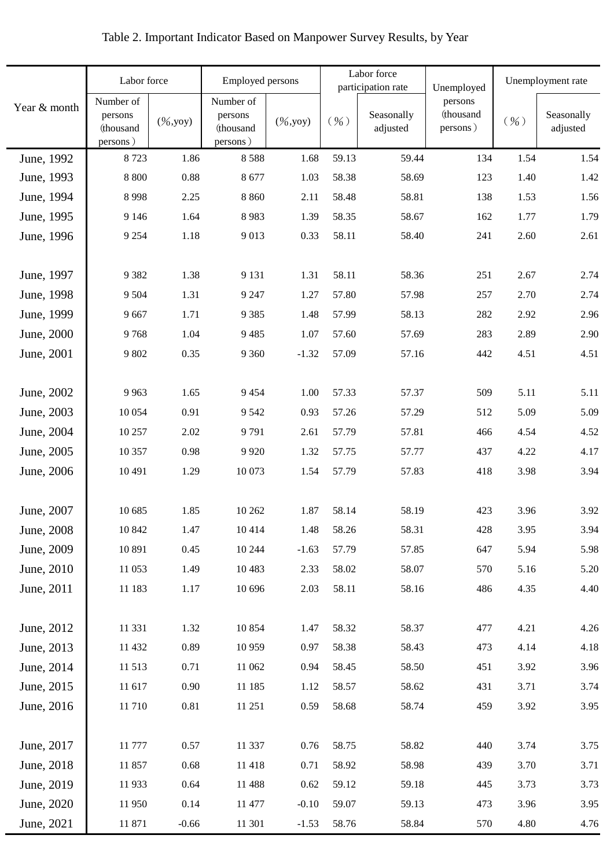|              |                                               | Labor force<br><b>Employed persons</b> |                                               |                              |        | Labor force<br>participation rate | Unemployed                       | Unemployment rate |                        |  |
|--------------|-----------------------------------------------|----------------------------------------|-----------------------------------------------|------------------------------|--------|-----------------------------------|----------------------------------|-------------------|------------------------|--|
| Year & month | Number of<br>persons<br>(thousand<br>persons) | $(\frac{6}{9}, yoy)$                   | Number of<br>persons<br>(thousand<br>persons) | $(\frac{9}{6}, \frac{1}{9})$ | $($ %) | Seasonally<br>adjusted            | persons<br>(thousand<br>persons) | $($ %)            | Seasonally<br>adjusted |  |
| June, 1992   | 8723                                          | 1.86                                   | 8588                                          | 1.68                         | 59.13  | 59.44                             | 134                              | 1.54              | 1.54                   |  |
| June, 1993   | 8 8 0 0                                       | 0.88                                   | 8677                                          | 1.03                         | 58.38  | 58.69                             | 123                              | 1.40              | 1.42                   |  |
| June, 1994   | 8998                                          | 2.25                                   | 8 8 6 0                                       | 2.11                         | 58.48  | 58.81                             | 138                              | 1.53              | 1.56                   |  |
| June, 1995   | 9 1 4 6                                       | 1.64                                   | 8983                                          | 1.39                         | 58.35  | 58.67                             | 162                              | 1.77              | 1.79                   |  |
| June, 1996   | 9 2 5 4                                       | 1.18                                   | 9013                                          | 0.33                         | 58.11  | 58.40                             | 241                              | 2.60              | 2.61                   |  |
| June, 1997   | 9382                                          | 1.38                                   | 9 1 3 1                                       | 1.31                         | 58.11  | 58.36                             | 251                              | 2.67              | 2.74                   |  |
| June, 1998   | 9 5 0 4                                       | 1.31                                   | 9 2 4 7                                       | 1.27                         | 57.80  | 57.98                             | 257                              | 2.70              | 2.74                   |  |
| June, 1999   | 9667                                          | 1.71                                   | 9 3 8 5                                       | 1.48                         | 57.99  | 58.13                             | 282                              | 2.92              | 2.96                   |  |
| June, 2000   | 9768                                          | 1.04                                   | 9485                                          | 1.07                         | 57.60  | 57.69                             | 283                              | 2.89              | 2.90                   |  |
| June, 2001   | 9 802                                         | 0.35                                   | 9 3 6 0                                       | $-1.32$                      | 57.09  | 57.16                             | 442                              | 4.51              | 4.51                   |  |
| June, 2002   | 9963                                          | 1.65                                   | 9454                                          | 1.00                         | 57.33  | 57.37                             | 509                              | 5.11              | 5.11                   |  |
| June, 2003   | 10 0 54                                       | 0.91                                   | 9 5 4 2                                       | 0.93                         | 57.26  | 57.29                             | 512                              | 5.09              | 5.09                   |  |
| June, 2004   | 10 257                                        | 2.02                                   | 9791                                          | 2.61                         | 57.79  | 57.81                             | 466                              | 4.54              | 4.52                   |  |
| June, 2005   | 10 357                                        | 0.98                                   | 9 9 2 0                                       | 1.32                         | 57.75  | 57.77                             | 437                              | 4.22              | 4.17                   |  |
| June, 2006   | 10 4 91                                       | 1.29                                   | 10 073                                        | 1.54                         | 57.79  | 57.83                             | 418                              | 3.98              | 3.94                   |  |
| June, 2007   | 10 685                                        | 1.85                                   | 10 26 2                                       | 1.87                         | 58.14  | 58.19                             | 423                              | 3.96              | 3.92                   |  |
| June, 2008   | 10 842                                        | 1.47                                   | 10414                                         | 1.48                         | 58.26  | 58.31                             | 428                              | 3.95              | 3.94                   |  |
| June, 2009   | 10 891                                        | 0.45                                   | 10 244                                        | $-1.63$                      | 57.79  | 57.85                             | 647                              | 5.94              | 5.98                   |  |
| June, 2010   | 11 053                                        | 1.49                                   | 10 4 83                                       | 2.33                         | 58.02  | 58.07                             | 570                              | 5.16              | 5.20                   |  |
| June, 2011   | 11 183                                        | 1.17                                   | 10 696                                        | 2.03                         | 58.11  | 58.16                             | 486                              | 4.35              | 4.40                   |  |
| June, 2012   | 11 331                                        | 1.32                                   | 10 854                                        | 1.47                         | 58.32  | 58.37                             | 477                              | 4.21              | 4.26                   |  |
| June, 2013   | 11 432                                        | 0.89                                   | 10 959                                        | 0.97                         | 58.38  | 58.43                             | 473                              | 4.14              | 4.18                   |  |
| June, 2014   | 11 513                                        | 0.71                                   | 11 062                                        | 0.94                         | 58.45  | 58.50                             | 451                              | 3.92              | 3.96                   |  |
| June, 2015   | 11 617                                        | 0.90                                   | 11 185                                        | 1.12                         | 58.57  | 58.62                             | 431                              | 3.71              | 3.74                   |  |
| June, 2016   | 11 710                                        | 0.81                                   | 11 251                                        | 0.59                         | 58.68  | 58.74                             | 459                              | 3.92              | 3.95                   |  |
| June, 2017   | 11 777                                        | 0.57                                   | 11 337                                        | 0.76                         | 58.75  | 58.82                             | 440                              | 3.74              | 3.75                   |  |
| June, 2018   | 11 857                                        | 0.68                                   | 11 418                                        | 0.71                         | 58.92  | 58.98                             | 439                              | 3.70              | 3.71                   |  |
| June, 2019   | 11 933                                        | 0.64                                   | 11 488                                        | 0.62                         | 59.12  | 59.18                             | 445                              | 3.73              | 3.73                   |  |
| June, 2020   | 11 950                                        | 0.14                                   | 11 477                                        | $-0.10$                      | 59.07  | 59.13                             | 473                              | 3.96              | 3.95                   |  |
| June, 2021   | 11 871                                        | $-0.66$                                | 11 301                                        | $-1.53$                      | 58.76  | 58.84                             | 570                              | 4.80              | 4.76                   |  |

## Table 2. Important Indicator Based on Manpower Survey Results, by Year